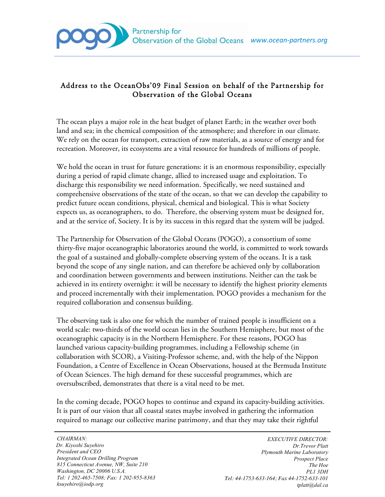

## Address to the OceanObs'09 Final Session on behalf of the Partnership for Observation of the Global Oceans

The ocean plays a major role in the heat budget of planet Earth; in the weather over both land and sea; in the chemical composition of the atmosphere; and therefore in our climate. We rely on the ocean for transport, extraction of raw materials, as a source of energy and for recreation. Moreover, its ecosystems are a vital resource for hundreds of millions of people.

We hold the ocean in trust for future generations: it is an enormous responsibility, especially during a period of rapid climate change, allied to increased usage and exploitation. To discharge this responsibility we need information. Specifically, we need sustained and comprehensive observations of the state of the ocean, so that we can develop the capability to predict future ocean conditions, physical, chemical and biological. This is what Society expects us, as oceanographers, to do. Therefore, the observing system must be designed for, and at the service of, Society. It is by its success in this regard that the system will be judged.

The Partnership for Observation of the Global Oceans (POGO), a consortium of some thirty-five major oceanographic laboratories around the world, is committed to work towards the goal of a sustained and globally-complete observing system of the oceans. It is a task beyond the scope of any single nation, and can therefore be achieved only by collaboration and coordination between governments and between institutions. Neither can the task be achieved in its entirety overnight: it will be necessary to identify the highest priority elements and proceed incrementally with their implementation. POGO provides a mechanism for the required collaboration and consensus building.

The observing task is also one for which the number of trained people is insufficient on a world scale: two-thirds of the world ocean lies in the Southern Hemisphere, but most of the oceanographic capacity is in the Northern Hemisphere. For these reasons, POGO has launched various capacity-building programmes, including a Fellowship scheme (in collaboration with SCOR), a Visiting-Professor scheme, and, with the help of the Nippon Foundation, a Centre of Excellence in Ocean Observations, housed at the Bermuda Institute of Ocean Sciences. The high demand for these successful programmes, which are oversubscribed, demonstrates that there is a vital need to be met.

In the coming decade, POGO hopes to continue and expand its capacity-building activities. It is part of our vision that all coastal states maybe involved in gathering the information required to manage our collective marine patrimony, and that they may take their rightful

*CHAIRMAN: Dr. Kiyoshi Suyehiro President and CEO Integrated Ocean Drilling Program 815 Connecticut Avenue, NW, Suite 210 Washington, DC 20006 U.S.A. Tel: 1 202-465-7508; Fax: 1 202-955-8363 ksuyehiro@iodp.org*

*EXECUTIVE DIRECTOR: Dr.Trevor Platt Plymouth Marine Laboratory Prospect Place The Hoe PL1 3DH Tel: 44-1753-633-164; Fax 44-1752-633-101 tplatt@dal.ca*